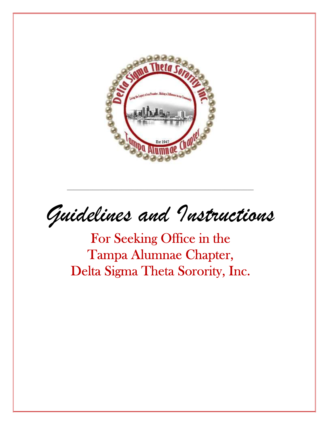

Guidelines and Instructions

For Seeking Office in the Tampa Alumnae Chapter, Delta Sigma Theta Sorority, Inc.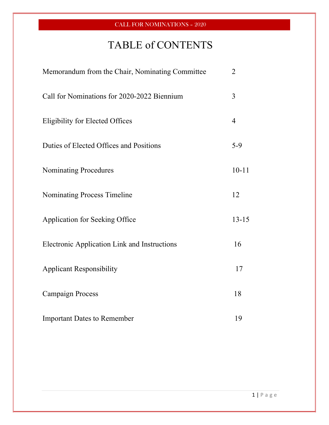# TABLE of CONTENTS

| Memorandum from the Chair, Nominating Committee | $\overline{2}$ |
|-------------------------------------------------|----------------|
| Call for Nominations for 2020-2022 Biennium     | 3              |
| <b>Eligibility for Elected Offices</b>          | $\overline{4}$ |
| Duties of Elected Offices and Positions         | $5-9$          |
| <b>Nominating Procedures</b>                    | $10 - 11$      |
| <b>Nominating Process Timeline</b>              | 12             |
| Application for Seeking Office                  | $13 - 15$      |
| Electronic Application Link and Instructions    | 16             |
| <b>Applicant Responsibility</b>                 | 17             |
| <b>Campaign Process</b>                         | 18             |
| <b>Important Dates to Remember</b>              | 19             |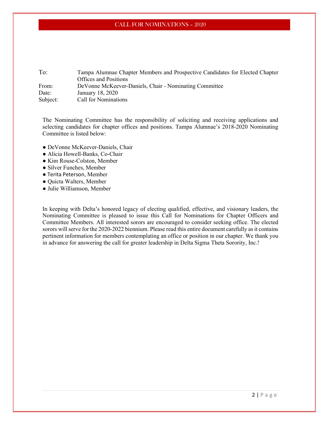| To:      | Tampa Alumnae Chapter Members and Prospective Candidates for Elected Chapter |
|----------|------------------------------------------------------------------------------|
|          | <b>Offices and Positions</b>                                                 |
| From:    | De Vonne McKeever-Daniels, Chair - Nominating Committee                      |
| Date:    | January 18, 2020                                                             |
| Subject: | <b>Call for Nominations</b>                                                  |
|          |                                                                              |

The Nominating Committee has the responsibility of soliciting and receiving applications and selecting candidates for chapter offices and positions. Tampa Alumnae's 2018-2020 Nominating Committee is listed below:

- DeVonne McKeever-Daniels, Chair
- Alicia Howell-Banks, Co-Chair
- Kim Rouse-Colston, Member
- Silver Funches, Member
- Terita Peterson, Member
- Quicta Walters, Member
- Julie Williamson, Member

In keeping with Delta's honored legacy of electing qualified, effective, and visionary leaders, the Nominating Committee is pleased to issue this Call for Nominations for Chapter Officers and Committee Members. All interested sorors are encouraged to consider seeking office. The elected sorors will serve for the 2020-2022 biennium. Please read this entire document carefully as it contains pertinent information for members contemplating an office or position in our chapter. We thank you in advance for answering the call for greater leadership in Delta Sigma Theta Sorority, Inc.!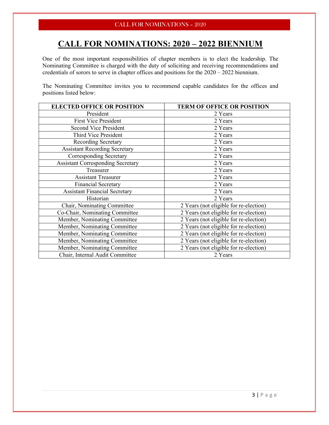## CALL FOR NOMINATIONS: 2020 – 2022 BIENNIUM

One of the most important responsibilities of chapter members is to elect the leadership. The Nominating Committee is charged with the duty of soliciting and receiving recommendations and credentials of sorors to serve in chapter offices and positions for the 2020 – 2022 biennium.

The Nominating Committee invites you to recommend capable candidates for the offices and positions listed below:

| <b>ELECTED OFFICE OR POSITION</b>        | <b>TERM OF OFFICE OR POSITION</b>      |
|------------------------------------------|----------------------------------------|
| President                                | 2 Years                                |
| <b>First Vice President</b>              | 2 Years                                |
| <b>Second Vice President</b>             | 2 Years                                |
| Third Vice President                     | 2 Years                                |
| Recording Secretary                      | 2 Years                                |
| <b>Assistant Recording Secretary</b>     | 2 Years                                |
| Corresponding Secretary                  | 2 Years                                |
| <b>Assistant Corresponding Secretary</b> | 2 Years                                |
| Treasurer                                | 2 Years                                |
| <b>Assistant Treasurer</b>               | 2 Years                                |
| <b>Financial Secretary</b>               | 2 Years                                |
| <b>Assistant Financial Secretary</b>     | 2 Years                                |
| Historian                                | 2 Years                                |
| Chair, Nominating Committee              | 2 Years (not eligible for re-election) |
| Co-Chair, Nominating Committee           | 2 Years (not eligible for re-election) |
| Member, Nominating Committee             | 2 Years (not eligible for re-election) |
| Member, Nominating Committee             | 2 Years (not eligible for re-election) |
| Member, Nominating Committee             | 2 Years (not eligible for re-election) |
| Member, Nominating Committee             | 2 Years (not eligible for re-election) |
| Member, Nominating Committee             | 2 Years (not eligible for re-election) |
| Chair, Internal Audit Committee          | 2 Years                                |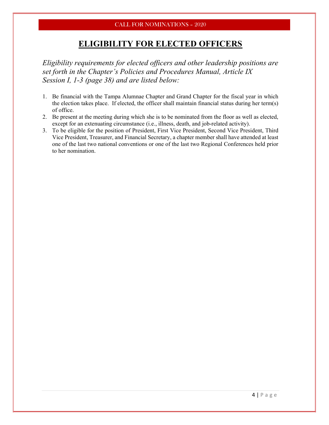### ELIGIBILITY FOR ELECTED OFFICERS

Eligibility requirements for elected officers and other leadership positions are set forth in the Chapter's Policies and Procedures Manual, Article IX Session I, 1-3 (page 38) and are listed below:

- 1. Be financial with the Tampa Alumnae Chapter and Grand Chapter for the fiscal year in which the election takes place. If elected, the officer shall maintain financial status during her term(s) of office.
- 2. Be present at the meeting during which she is to be nominated from the floor as well as elected, except for an extenuating circumstance (i.e., illness, death, and job-related activity).
- 3. To be eligible for the position of President, First Vice President, Second Vice President, Third Vice President, Treasurer, and Financial Secretary, a chapter member shall have attended at least one of the last two national conventions or one of the last two Regional Conferences held prior to her nomination.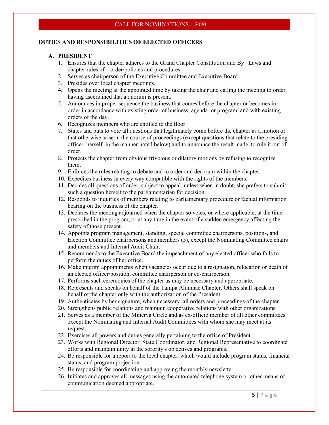#### DUTIES AND RESPONSIBILITIES OF ELECTED OFFICERS

#### A. PRESIDENT

- 1. Ensures that the chapter adheres to the Grand Chapter Constitution and By Laws and chapter rules of order/policies and procedures.
- 2. Serves as chairperson of the Executive Committee and Executive Board.
- 3. Presides over local chapter meetings.
- 4. Opens the meeting at the appointed time by taking the chair and calling the meeting to order, having ascertained that a quorum is present.
- 5. Announces in proper sequence the business that comes before the chapter or becomes in order in accordance with existing order of business, agenda, or program, and with existing orders of the day.
- 6. Recognizes members who are entitled to the floor.
- 7. States and puts to vote all questions that legitimately come before the chapter as a motion or that otherwise arise in the course of proceedings (except questions that relate to the presiding officer herself in the manner noted below) and to announce the result made, to rule it out of order.
- 8. Protects the chapter from obvious frivolous or dilatory motions by refusing to recognize them.
- 9. Enforces the rules relating to debate and to order and decorum within the chapter.
- 10. Expedites business in every way compatible with the rights of the members.
- 11. Decides all questions of order, subject to appeal, unless when in doubt, she prefers to submit such a question herself to the parliamentarian for decision.
- 12. Responds to inquiries of members relating to parliamentary procedure or factual information bearing on the business of the chapter.
- 13. Declares the meeting adjourned when the chapter so votes, or where applicable, at the time prescribed in the program, or at any time in the event of a sudden emergency affecting the safety of those present.
- 14. Appoints program management, standing, special committee chairpersons, positions, and Election Committee chairpersons and members (5), except the Nominating Committee chairs and members and Internal Audit Chair.
- 15. Recommends to the Executive Board the impeachment of any elected officer who fails to perform the duties of her office.
- 16. Make interim appointments when vacancies occur due to a resignation, relocation or death of an elected officer/position, committee chairperson or co-chairperson.
- 17. Performs such ceremonies of the chapter as may be necessary and appropriate.
- 18. Represents and speaks on behalf of the Tampa Alumnae Chapter. Others shall speak on behalf of the chapter only with the authorization of the President.
- 19. Authenticates by her signature, when necessary, all orders and proceedings of the chapter.
- 20. Strengthens public relations and maintain cooperative relations with other organizations.
- 21. Serves as a member of the Minerva Circle and as ex-officio member of all other committees except the Nominating and Internal Audit Committees with whom she may meet at its request.
- 22. Exercises all powers and duties generally pertaining to the office of President.
- 23. Works with Regional Director, State Coordinator, and Regional Representative to coordinate efforts and maintain unity in the sorority's objectives and programs.
- 24. Be responsible for a report to the local chapter, which would include program status, financial status, and program projection.
- 25. Be responsible for coordinating and approving the monthly newsletter.
- 26. Initiates and approves all messages using the automated telephone system or other means of communication deemed appropriate.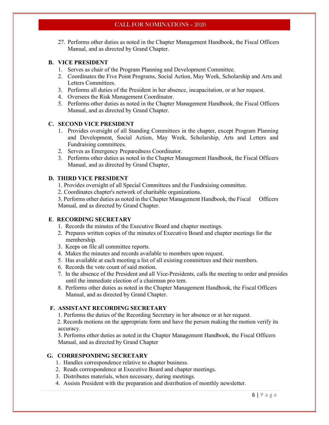27. Performs other duties as noted in the Chapter Management Handbook, the Fiscal Officers Manual, and as directed by Grand Chapter.

#### B. VICE PRESIDENT

- 1. Serves as chair of the Program Planning and Development Committee.
- 2. Coordinates the Five Point Programs, Social Action, May Week, Scholarship and Arts and Letters Committees.
- 3. Performs all duties of the President in her absence, incapacitation, or at her request.
- 4. Oversees the Risk Management Coordinator.
- 5. Performs other duties as noted in the Chapter Management Handbook, the Fiscal Officers Manual, and as directed by Grand Chapter.

#### C. SECOND VICE PRESIDENT

- 1. Provides oversight of all Standing Committees in the chapter, except Program Planning and Development, Social Action, May Week, Scholarship, Arts and Letters and Fundraising committees.
- 2. Serves as Emergency Preparedness Coordinator.
- 3. Performs other duties as noted in the Chapter Management Handbook, the Fiscal Officers Manual, and as directed by Grand Chapter,

#### D. THIRD VICE PRESIDENT

- 1. Provides oversight of all Special Committees and the Fundraising committee.
- 2. Coordinates chapter's network of charitable organizations.

 3. Performs other duties as noted in the Chapter Management Handbook, the Fiscal Officers Manual, and as directed by Grand Chapter.

#### E. RECORDING SECRETARY

- 1. Records the minutes of the Executive Board and chapter meetings.
- 2. Prepares written copies of the minutes of Executive Board and chapter meetings for the membership.
- 3. Keeps on file all committee reports.
- 4. Makes the minutes and records available to members upon request.
- 5. Has available at each meeting a list of all existing committees and their members.
- 6. Records the vote count of said motion.
- 7. In the absence of the President and all Vice-Presidents, calls the meeting to order and presides until the immediate election of a chairman pro tem.
- 8. Performs other duties as noted in the Chapter Management Handbook, the Fiscal Officers Manual, and as directed by Grand Chapter.

#### F. ASSISTANT RECORDING SECRETARY

1. Performs the duties of the Recording Secretary in her absence or at her request.

 2. Records motions on the appropriate form and have the person making the motion verify its accuracy.

 3. Performs other duties as noted in the Chapter Management Handbook, the Fiscal Officers Manual, and as directed by Grand Chapter

#### G. CORRESPONDING SECRETARY

- 1. Handles correspondence relative to chapter business.
- 2. Reads correspondence at Executive Board and chapter meetings.
- 3. Distributes materials, when necessary, during meetings.
- 4. Assists President with the preparation and distribution of monthly newsletter.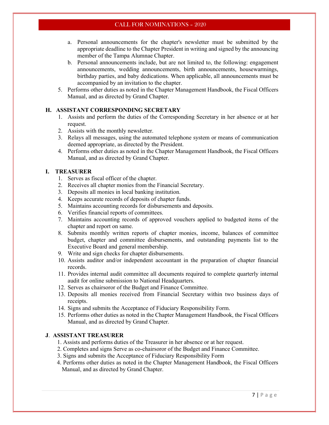- a. Personal announcements for the chapter's newsletter must be submitted by the appropriate deadline to the Chapter President in writing and signed by the announcing member of the Tampa Alumnae Chapter.
- b. Personal announcements include, but are not limited to, the following: engagement announcements, wedding announcements, birth announcements, housewarmings, birthday parties, and baby dedications. When applicable, all announcements must be accompanied by an invitation to the chapter.
- 5. Performs other duties as noted in the Chapter Management Handbook, the Fiscal Officers Manual, and as directed by Grand Chapter.

#### H. ASSISTANT CORRESPONDING SECRETARY

- 1. Assists and perform the duties of the Corresponding Secretary in her absence or at her request.
- 2. Assists with the monthly newsletter.
- 3. Relays all messages, using the automated telephone system or means of communication deemed appropriate, as directed by the President.
- 4. Performs other duties as noted in the Chapter Management Handbook, the Fiscal Officers Manual, and as directed by Grand Chapter.

#### I. TREASURER

- 1. Serves as fiscal officer of the chapter.
- 2. Receives all chapter monies from the Financial Secretary.
- 3. Deposits all monies in local banking institution.
- 4. Keeps accurate records of deposits of chapter funds.
- 5. Maintains accounting records for disbursements and deposits.
- 6. Verifies financial reports of committees.
- 7. Maintains accounting records of approved vouchers applied to budgeted items of the chapter and report on same.
- 8. Submits monthly written reports of chapter monies, income, balances of committee budget, chapter and committee disbursements, and outstanding payments list to the Executive Board and general membership.
- 9. Write and sign checks for chapter disbursements.
- 10. Assists auditor and/or independent accountant in the preparation of chapter financial records.
- 11. Provides internal audit committee all documents required to complete quarterly internal audit for online submission to National Headquarters.
- 12. Serves as chairsoror of the Budget and Finance Committee.
- 13. Deposits all monies received from Financial Secretary within two business days of receipts.
- 14. Signs and submits the Acceptance of Fiduciary Responsibility Form.
- 15. Performs other duties as noted in the Chapter Management Handbook, the Fiscal Officers Manual, and as directed by Grand Chapter.

#### J. ASSISTANT TREASURER

- 1. Assists and performs duties of the Treasurer in her absence or at her request.
- 2. Completes and signs Serve as co-chairsoror of the Budget and Finance Committee.
- 3. Signs and submits the Acceptance of Fiduciary Responsibility Form
- 4. Performs other duties as noted in the Chapter Management Handbook, the Fiscal Officers Manual, and as directed by Grand Chapter.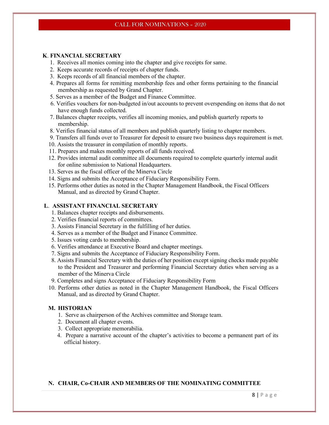#### K. FINANCIAL SECRETARY

- 1. Receives all monies coming into the chapter and give receipts for same.
- 2. Keeps accurate records of receipts of chapter funds.
- 3. Keeps records of all financial members of the chapter.
- 4. Prepares all forms for remitting membership fees and other forms pertaining to the financial membership as requested by Grand Chapter.
- 5. Serves as a member of the Budget and Finance Committee.
- 6. Verifies vouchers for non-budgeted in/out accounts to prevent overspending on items that do not have enough funds collected.
- 7. Balances chapter receipts, verifies all incoming monies, and publish quarterly reports to membership.
- 8. Verifies financial status of all members and publish quarterly listing to chapter members.
- 9. Transfers all funds over to Treasurer for deposit to ensure two business days requirement is met.
- 10. Assists the treasurer in compilation of monthly reports.
- 11. Prepares and makes monthly reports of all funds received.
- 12. Provides internal audit committee all documents required to complete quarterly internal audit for online submission to National Headquarters.
- 13. Serves as the fiscal officer of the Minerva Circle
- 14. Signs and submits the Acceptance of Fiduciary Responsibility Form.
- 15. Performs other duties as noted in the Chapter Management Handbook, the Fiscal Officers Manual, and as directed by Grand Chapter.

#### L. ASSISTANT FINANCIAL SECRETARY

- 1. Balances chapter receipts and disbursements.
- 2. Verifies financial reports of committees.
- 3. Assists Financial Secretary in the fulfilling of her duties.
- 4. Serves as a member of the Budget and Finance Committee.
- 5. Issues voting cards to membership.
- 6. Verifies attendance at Executive Board and chapter meetings.
- 7. Signs and submits the Acceptance of Fiduciary Responsibility Form.
- 8. Assists Financial Secretary with the duties of her position except signing checks made payable to the President and Treasurer and performing Financial Secretary duties when serving as a member of the Minerva Circle
- 9. Completes and signs Acceptance of Fiduciary Responsibility Form
- 10. Performs other duties as noted in the Chapter Management Handbook, the Fiscal Officers Manual, and as directed by Grand Chapter.

#### M. HISTORIAN

- 1. Serve as chairperson of the Archives committee and Storage team.
- 2. Document all chapter events.
- 3. Collect appropriate memorabilia.
- 4. Prepare a narrative account of the chapter's activities to become a permanent part of its official history.

#### N. CHAIR, Co-CHAIR AND MEMBERS OF THE NOMINATING COMMITTEE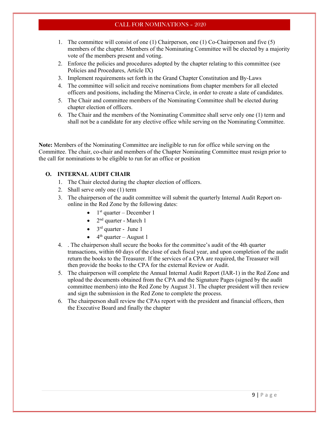- 1. The committee will consist of one (1) Chairperson, one (1) Co-Chairperson and five (5) members of the chapter. Members of the Nominating Committee will be elected by a majority vote of the members present and voting.
- 2. Enforce the policies and procedures adopted by the chapter relating to this committee (see Policies and Procedures, Article IX)
- 3. Implement requirements set forth in the Grand Chapter Constitution and By-Laws
- 4. The committee will solicit and receive nominations from chapter members for all elected officers and positions, including the Minerva Circle, in order to create a slate of candidates.
- 5. The Chair and committee members of the Nominating Committee shall be elected during chapter election of officers.
- 6. The Chair and the members of the Nominating Committee shall serve only one (1) term and shall not be a candidate for any elective office while serving on the Nominating Committee.

Note: Members of the Nominating Committee are ineligible to run for office while serving on the Committee. The chair, co-chair and members of the Chapter Nominating Committee must resign prior to the call for nominations to be eligible to run for an office or position

#### O. INTERNAL AUDIT CHAIR

- 1. The Chair elected during the chapter election of officers.
- 2. Shall serve only one (1) term
- 3. The chairperson of the audit committee will submit the quarterly Internal Audit Report ononline in the Red Zone by the following dates:
	- $\bullet$  1<sup>st</sup> quarter December 1
	- $2<sup>nd</sup>$  quarter March 1
	- $\bullet$  3<sup>rd</sup> quarter June 1
	- $\bullet$  4<sup>th</sup> quarter August 1
- 4. . The chairperson shall secure the books for the committee's audit of the 4th quarter transactions, within 60 days of the close of each fiscal year, and upon completion of the audit return the books to the Treasurer. If the services of a CPA are required, the Treasurer will then provide the books to the CPA for the external Review or Audit.
- 5. The chairperson will complete the Annual Internal Audit Report (IAR-1) in the Red Zone and upload the documents obtained from the CPA and the Signature Pages (signed by the audit committee members) into the Red Zone by August 31. The chapter president will then review and sign the submission in the Red Zone to complete the process.
- 6. The chairperson shall review the CPAs report with the president and financial officers, then the Executive Board and finally the chapter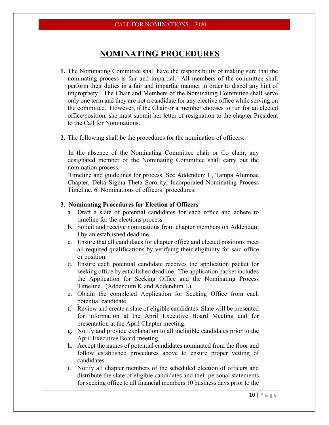### NOMINATING PROCEDURES

- 1. The Nominating Committee shall have the responsibility of making sure that the nominating process is fair and impartial. All members of the committee shall perform their duties in a fair and impartial manner in order to dispel any hint of impropriety. The Chair and Members of the Nominating Committee shall serve only one term and they are not a candidate for any elective office while serving on the committee. However, if the Chair or a member chooses to run for an elected office/position, she must submit her letter of resignation to the chapter President to the Call for Nominations.
- 2. The following shall be the procedures for the nomination of officers:

 In the absence of the Nominating Committee chair or Co chair, any designated member of the Nominating Committee shall carry out the nomination process.

 Timeline and guidelines for process. See Addendum L, Tampa Alumnae Chapter, Delta Sigma Theta Sorority, Incorporated Nominating Process Timeline. 6. Nominations of officers' procedures:

#### 3. Nominating Procedures for Election of Officers

- a. Draft a slate of potential candidates for each office and adhere to timeline for the elections process.
- b. Solicit and receive nominations from chapter members on Addendum I by an established deadline.
- c. Ensure that all candidates for chapter office and elected positions meet all required qualifications by verifying their eligibility for said office or position.
- d. Ensure each potential candidate receives the application packet for seeking office by established deadline. The application packet includes the Application for Seeking Office and the Nominating Process Timeline. (Addendum K and Addendum L)
- e. Obtain the completed Application for Seeking Office from each potential candidate.
- f. Review and create a slate of eligible candidates. Slate will be presented for information at the April Executive Board Meeting and for presentation at the April Chapter meeting.
- g. Notify and provide explanation to all ineligible candidates prior to the April Executive Board meeting.
- h. Accept the names of potential candidates nominated from the floor and follow established procedures above to ensure proper vetting of candidates.
- i. Notify all chapter members of the scheduled election of officers and distribute the slate of eligible candidates and their personal statements for seeking office to all financial members 10 business days prior to the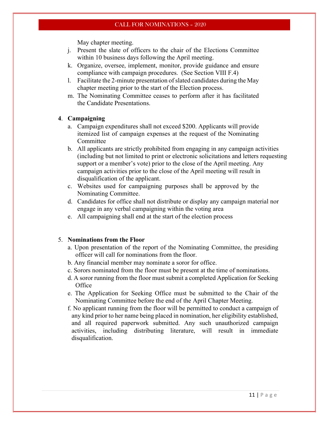May chapter meeting.

- j. Present the slate of officers to the chair of the Elections Committee within 10 business days following the April meeting.
- k. Organize, oversee, implement, monitor, provide guidance and ensure compliance with campaign procedures. (See Section VIII F.4)
- l. Facilitate the 2-minute presentation of slated candidates during the May chapter meeting prior to the start of the Election process.
- m. The Nominating Committee ceases to perform after it has facilitated the Candidate Presentations.

#### 4. Campaigning

- a. Campaign expenditures shall not exceed \$200. Applicants will provide itemized list of campaign expenses at the request of the Nominating Committee
- b. All applicants are strictly prohibited from engaging in any campaign activities (including but not limited to print or electronic solicitations and letters requesting support or a member's vote) prior to the close of the April meeting. Any campaign activities prior to the close of the April meeting will result in disqualification of the applicant.
- c. Websites used for campaigning purposes shall be approved by the Nominating Committee.
- d. Candidates for office shall not distribute or display any campaign material nor engage in any verbal campaigning within the voting area
- e. All campaigning shall end at the start of the election process

#### 5. Nominations from the Floor

- a. Upon presentation of the report of the Nominating Committee, the presiding officer will call for nominations from the floor.
- b. Any financial member may nominate a soror for office.
- c. Sorors nominated from the floor must be present at the time of nominations.
- d. A soror running from the floor must submit a completed Application for Seeking **Office**
- e. The Application for Seeking Office must be submitted to the Chair of the Nominating Committee before the end of the April Chapter Meeting.
- f. No applicant running from the floor will be permitted to conduct a campaign of any kind prior to her name being placed in nomination, her eligibility established, and all required paperwork submitted. Any such unauthorized campaign activities, including distributing literature, will result in immediate disqualification.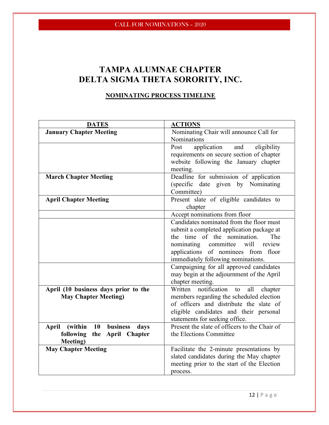## TAMPA ALUMNAE CHAPTER DELTA SIGMA THETA SORORITY, INC.

### NOMINATING PROCESS TIMELINE

| <b>DATES</b>                                      | <b>ACTIONS</b>                                |  |  |  |
|---------------------------------------------------|-----------------------------------------------|--|--|--|
| <b>January Chapter Meeting</b>                    | Nominating Chair will announce Call for       |  |  |  |
|                                                   | <b>Nominations</b>                            |  |  |  |
|                                                   | application<br>Post<br>and<br>eligibility     |  |  |  |
|                                                   | requirements on secure section of chapter     |  |  |  |
|                                                   | website following the January chapter         |  |  |  |
|                                                   | meeting.                                      |  |  |  |
| <b>March Chapter Meeting</b>                      | Deadline for submission of application        |  |  |  |
|                                                   | (specific date given by Nominating            |  |  |  |
|                                                   | Committee)                                    |  |  |  |
| <b>April Chapter Meeting</b>                      | Present slate of eligible candidates to       |  |  |  |
|                                                   | chapter                                       |  |  |  |
|                                                   | Accept nominations from floor                 |  |  |  |
|                                                   | Candidates nominated from the floor must      |  |  |  |
|                                                   | submit a completed application package at     |  |  |  |
|                                                   | time of the nomination.<br>The<br>the         |  |  |  |
|                                                   | nominating<br>committee<br>will<br>review     |  |  |  |
|                                                   | applications of nominees from floor           |  |  |  |
|                                                   | immediately following nominations.            |  |  |  |
|                                                   | Campaigning for all approved candidates       |  |  |  |
|                                                   | may begin at the adjournment of the April     |  |  |  |
|                                                   | chapter meeting.                              |  |  |  |
| April (10 business days prior to the              | Written notification<br>all<br>chapter<br>to  |  |  |  |
| <b>May Chapter Meeting)</b>                       | members regarding the scheduled election      |  |  |  |
|                                                   | of officers and distribute the slate of       |  |  |  |
|                                                   | eligible candidates and their personal        |  |  |  |
|                                                   | statements for seeking office.                |  |  |  |
| business<br><b>10</b><br>April<br>(within<br>days | Present the slate of officers to the Chair of |  |  |  |
| following the April Chapter                       | the Elections Committee                       |  |  |  |
| <b>Meeting</b> )                                  |                                               |  |  |  |
| <b>May Chapter Meeting</b>                        | Facilitate the 2-minute presentations by      |  |  |  |
|                                                   | slated candidates during the May chapter      |  |  |  |
|                                                   | meeting prior to the start of the Election    |  |  |  |
|                                                   | process.                                      |  |  |  |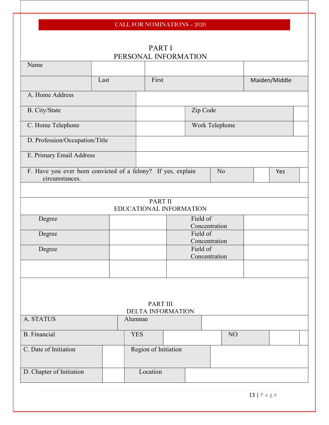| <b>CALL FOR NOMINATIONS - 2020</b>                           |      |                         |                           |  |          |                |  |               |
|--------------------------------------------------------------|------|-------------------------|---------------------------|--|----------|----------------|--|---------------|
|                                                              |      |                         |                           |  |          |                |  |               |
|                                                              |      |                         | PART I                    |  |          |                |  |               |
|                                                              |      | PERSONAL INFORMATION    |                           |  |          |                |  |               |
| Name                                                         |      |                         |                           |  |          |                |  |               |
|                                                              |      |                         |                           |  |          |                |  |               |
|                                                              | Last |                         | First                     |  |          |                |  | Maiden/Middle |
| A. Home Address                                              |      |                         |                           |  |          |                |  |               |
| B. City/State                                                |      |                         |                           |  | Zip Code |                |  |               |
| C. Home Telephone                                            |      |                         |                           |  |          | Work Telephone |  |               |
| D. Profession/Occupation/Title                               |      |                         |                           |  |          |                |  |               |
| E. Primary Email Address                                     |      |                         |                           |  |          |                |  |               |
| F. Have you ever been convicted of a felony? If yes, explain |      |                         |                           |  |          | N <sub>o</sub> |  | Yes           |
| circumstances.                                               |      |                         |                           |  |          |                |  |               |
|                                                              |      |                         |                           |  |          |                |  |               |
|                                                              |      | EDUCATIONAL INFORMATION | PART II                   |  |          |                |  |               |
| Degree                                                       |      |                         |                           |  | Field of |                |  |               |
|                                                              |      |                         |                           |  |          | Concentration  |  |               |
| Degree                                                       |      |                         |                           |  | Field of |                |  |               |
| Degree                                                       |      |                         | Concentration<br>Field of |  |          |                |  |               |
|                                                              |      |                         | Concentration             |  |          |                |  |               |
|                                                              |      |                         |                           |  |          |                |  |               |
|                                                              |      |                         |                           |  |          |                |  |               |
|                                                              |      |                         |                           |  |          |                |  |               |
|                                                              |      |                         |                           |  |          |                |  |               |
| PART III<br>DELTA INFORMATION                                |      |                         |                           |  |          |                |  |               |
| A. STATUS                                                    |      | Alumnae                 |                           |  |          |                |  |               |
|                                                              |      |                         |                           |  |          |                |  |               |
| <b>B.</b> Financial                                          |      | <b>YES</b>              |                           |  |          | NO             |  |               |
| C. Date of Initiation                                        |      |                         | Region of Initiation      |  |          |                |  |               |
|                                                              |      |                         |                           |  |          |                |  |               |
| D. Chapter of Initiation                                     |      |                         | Location                  |  |          |                |  |               |
|                                                              |      |                         |                           |  |          |                |  |               |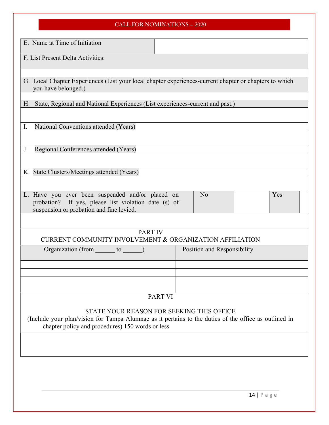| E. Name at Time of Initiation                                                                                                                        |                                                                                                                                                    |
|------------------------------------------------------------------------------------------------------------------------------------------------------|----------------------------------------------------------------------------------------------------------------------------------------------------|
| F. List Present Delta Activities:                                                                                                                    |                                                                                                                                                    |
|                                                                                                                                                      |                                                                                                                                                    |
| you have belonged.)                                                                                                                                  | G. Local Chapter Experiences (List your local chapter experiences-current chapter or chapters to which                                             |
| H. State, Regional and National Experiences (List experiences-current and past.)                                                                     |                                                                                                                                                    |
|                                                                                                                                                      |                                                                                                                                                    |
| National Conventions attended (Years)<br>I.                                                                                                          |                                                                                                                                                    |
|                                                                                                                                                      |                                                                                                                                                    |
| Regional Conferences attended (Years)<br>J.                                                                                                          |                                                                                                                                                    |
| K. State Clusters/Meetings attended (Years)                                                                                                          |                                                                                                                                                    |
|                                                                                                                                                      |                                                                                                                                                    |
| L. Have you ever been suspended and/or placed on<br>probation? If yes, please list violation date (s) of<br>suspension or probation and fine levied. | Yes<br>N <sub>o</sub>                                                                                                                              |
|                                                                                                                                                      |                                                                                                                                                    |
| <b>PART IV</b><br><b>CURRENT COMMUNITY INVOLVEMENT &amp; ORGANIZATION AFFILIATION</b>                                                                |                                                                                                                                                    |
| Organization (from _______ to ______)                                                                                                                | Position and Responsibility                                                                                                                        |
|                                                                                                                                                      |                                                                                                                                                    |
|                                                                                                                                                      |                                                                                                                                                    |
|                                                                                                                                                      | <b>PART VI</b>                                                                                                                                     |
|                                                                                                                                                      |                                                                                                                                                    |
| chapter policy and procedures) 150 words or less                                                                                                     | STATE YOUR REASON FOR SEEKING THIS OFFICE<br>(Include your plan/vision for Tampa Alumnae as it pertains to the duties of the office as outlined in |
|                                                                                                                                                      |                                                                                                                                                    |
|                                                                                                                                                      |                                                                                                                                                    |
|                                                                                                                                                      |                                                                                                                                                    |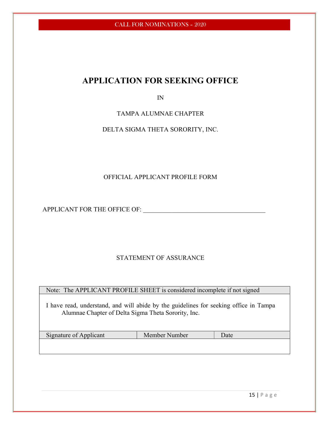## APPLICATION FOR SEEKING OFFICE

IN

TAMPA ALUMNAE CHAPTER

DELTA SIGMA THETA SORORITY, INC.

### OFFICIAL APPLICANT PROFILE FORM

APPLICANT FOR THE OFFICE OF: \_\_\_\_\_\_\_\_\_\_\_\_\_\_\_\_\_\_\_\_\_\_\_\_\_\_\_\_\_\_\_\_\_\_\_\_\_\_

### STATEMENT OF ASSURANCE

Note: The APPLICANT PROFILE SHEET is considered incomplete if not signed

I have read, understand, and will abide by the guidelines for seeking office in Tampa Alumnae Chapter of Delta Sigma Theta Sorority, Inc.

| Signature of Applicant | Member Number | Jate |
|------------------------|---------------|------|
|------------------------|---------------|------|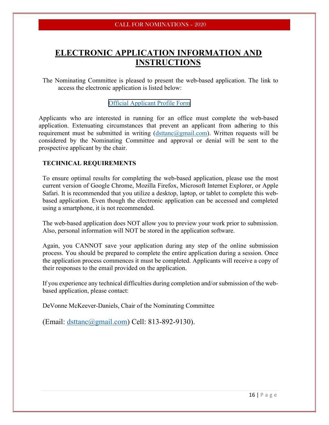## ELECTRONIC APPLICATION INFORMATION AND INSTRUCTIONS

The Nominating Committee is pleased to present the web-based application. The link to access the electronic application is listed below:

#### [Official Applicant Profile Form](https://forms.gle/JvuBJ2kfECSoj8peA)

Applicants who are interested in running for an office must complete the web-based application. Extenuating circumstances that prevent an applicant from adhering to this requirement must be submitted in writing  $(d$ sttanc $(a)$ gmail.com). Written requests will be considered by the Nominating Committee and approval or denial will be sent to the prospective applicant by the chair.

#### TECHNICAL REQUIREMENTS

To ensure optimal results for completing the web-based application, please use the most current version of Google Chrome, Mozilla Firefox, Microsoft Internet Explorer, or Apple Safari. It is recommended that you utilize a desktop, laptop, or tablet to complete this webbased application. Even though the electronic application can be accessed and completed using a smartphone, it is not recommended.

The web-based application does NOT allow you to preview your work prior to submission. Also, personal information will NOT be stored in the application software.

Again, you CANNOT save your application during any step of the online submission process. You should be prepared to complete the entire application during a session. Once the application process commences it must be completed. Applicants will receive a copy of their responses to the email provided on the application.

If you experience any technical difficulties during completion and/or submission of the webbased application, please contact:

DeVonne McKeever-Daniels, Chair of the Nominating Committee

(Email: dsttanc@gmail.com) Cell: 813-892-9130).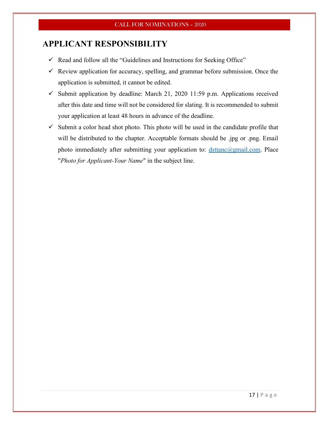### APPLICANT RESPONSIBILITY

- $\checkmark$  Read and follow all the "Guidelines and Instructions for Seeking Office"
- $\checkmark$  Review application for accuracy, spelling, and grammar before submission. Once the application is submitted, it cannot be edited.
- $\checkmark$  Submit application by deadline: March 21, 2020 11:59 p.m. Applications received after this date and time will not be considered for slating. It is recommended to submit your application at least 48 hours in advance of the deadline.
- $\checkmark$  Submit a color head shot photo. This photo will be used in the candidate profile that will be distributed to the chapter. Acceptable formats should be .jpg or .png. Email photo immediately after submitting your application to:  $\text{distance}(\widehat{a}|\text{gmail.com. Place})$ "Photo for Applicant-Your Name" in the subject line.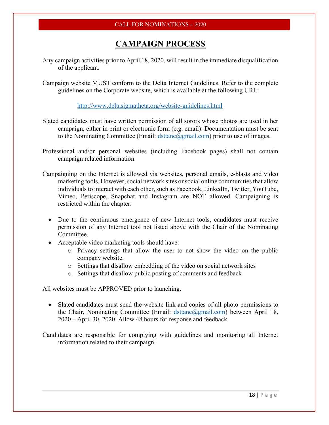## CAMPAIGN PROCESS

- Any campaign activities prior to April 18, 2020, will result in the immediate disqualification of the applicant.
- Campaign website MUST conform to the Delta Internet Guidelines. Refer to the complete guidelines on the Corporate website, which is available at the following URL:

http://www.deltasigmatheta.org/website-guidelines.html

- Slated candidates must have written permission of all sorors whose photos are used in her campaign, either in print or electronic form (e.g. email). Documentation must be sent to the Nominating Committee (Email:  $\frac{d}{dx}$  dstranc $\left(\frac{\partial g}{\partial m}\right)$  prior to use of images.
- Professional and/or personal websites (including Facebook pages) shall not contain campaign related information.
- Campaigning on the Internet is allowed via websites, personal emails, e-blasts and video marketing tools. However, social network sites or social online communities that allow individuals to interact with each other, such as Facebook, LinkedIn, Twitter, YouTube, Vimeo, Periscope, Snapchat and Instagram are NOT allowed. Campaigning is restricted within the chapter.
	- Due to the continuous emergence of new Internet tools, candidates must receive permission of any Internet tool not listed above with the Chair of the Nominating Committee.
	- Acceptable video marketing tools should have:
		- o Privacy settings that allow the user to not show the video on the public company website.
		- o Settings that disallow embedding of the video on social network sites
		- o Settings that disallow public posting of comments and feedback

All websites must be APPROVED prior to launching.

 Slated candidates must send the website link and copies of all photo permissions to the Chair, Nominating Committee (Email: dsttanc@gmail.com) between April 18, 2020 – April 30, 2020. Allow 48 hours for response and feedback.

Candidates are responsible for complying with guidelines and monitoring all Internet information related to their campaign.